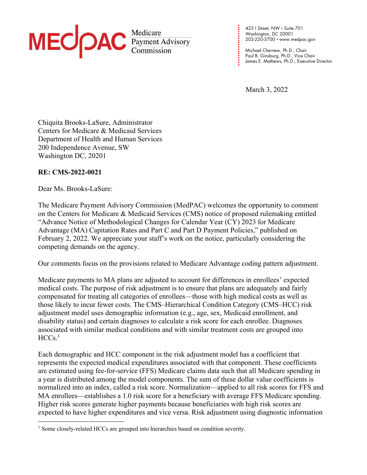

**. . . . . . . . . . .** 425 I Street, NW • Suite 701 Washington, DC 20001 202-220-3700 • www.medpac.gov

**. . . . . . . . . .**

Michael Chernew, Ph.D., Chair Paul B. Ginsburg, Ph.D., Vice Chair James E. Mathews, Ph.D., Executive Director

March 3, 2022

Chiquita Brooks-LaSure, Administrator Centers for Medicare & Medicaid Services Department of Health and Human Services 200 Independence Avenue, SW Washington DC, 20201

## **RE: CMS-2022-0021**

Dear Ms. Brooks-LaSure:

The Medicare Payment Advisory Commission (MedPAC) welcomes the opportunity to comment on the Centers for Medicare & Medicaid Services (CMS) notice of proposed rulemaking entitled "Advance Notice of Methodological Changes for Calendar Year (CY) 2023 for Medicare Advantage (MA) Capitation Rates and Part C and Part D Payment Policies," published on February 2, 2022. We appreciate your staff's work on the notice, particularly considering the competing demands on the agency.

Our comments focus on the provisions related to Medicare Advantage coding pattern adjustment.

Medicare payments to MA plans are adjusted to account for differences in enrollees' expected medical costs. The purpose of risk adjustment is to ensure that plans are adequately and fairly compensated for treating all categories of enrollees—those with high medical costs as well as those likely to incur fewer costs. The CMS–Hierarchical Condition Category (CMS–HCC) risk adjustment model uses demographic information (e.g., age, sex, Medicaid enrollment, and disability status) and certain diagnoses to calculate a risk score for each enrollee. Diagnoses associated with similar medical conditions and with similar treatment costs are grouped into  $HCCs<sup>1</sup>$ 

Each demographic and HCC component in the risk adjustment model has a coefficient that represents the expected medical expenditures associated with that component. These coefficients are estimated using fee-for-service (FFS) Medicare claims data such that all Medicare spending in a year is distributed among the model components. The sum of these dollar value coefficients is normalized into an index, called a risk score. Normalization—applied to all risk scores for FFS and MA enrollees—establishes a 1.0 risk score for a beneficiary with average FFS Medicare spending. Higher risk scores generate higher payments because beneficiaries with high risk scores are expected to have higher expenditures and vice versa. Risk adjustment using diagnostic information

<sup>&</sup>lt;sup>1</sup> Some closely-related HCCs are grouped into hierarchies based on condition severity.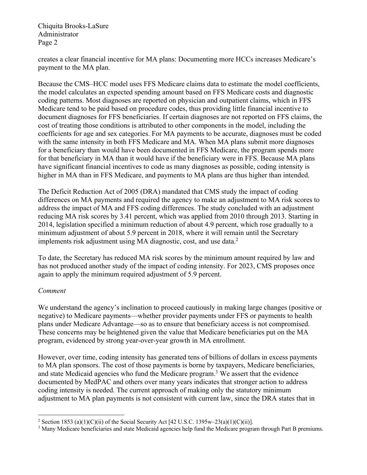creates a clear financial incentive for MA plans: Documenting more HCCs increases Medicare's payment to the MA plan.

Because the CMS–HCC model uses FFS Medicare claims data to estimate the model coefficients, the model calculates an expected spending amount based on FFS Medicare costs and diagnostic coding patterns. Most diagnoses are reported on physician and outpatient claims, which in FFS Medicare tend to be paid based on procedure codes, thus providing little financial incentive to document diagnoses for FFS beneficiaries. If certain diagnoses are not reported on FFS claims, the cost of treating those conditions is attributed to other components in the model, including the coefficients for age and sex categories. For MA payments to be accurate, diagnoses must be coded with the same intensity in both FFS Medicare and MA. When MA plans submit more diagnoses for a beneficiary than would have been documented in FFS Medicare, the program spends more for that beneficiary in MA than it would have if the beneficiary were in FFS. Because MA plans have significant financial incentives to code as many diagnoses as possible, coding intensity is higher in MA than in FFS Medicare, and payments to MA plans are thus higher than intended.

The Deficit Reduction Act of 2005 (DRA) mandated that CMS study the impact of coding differences on MA payments and required the agency to make an adjustment to MA risk scores to address the impact of MA and FFS coding differences. The study concluded with an adjustment reducing MA risk scores by 3.41 percent, which was applied from 2010 through 2013. Starting in 2014, legislation specified a minimum reduction of about 4.9 percent, which rose gradually to a minimum adjustment of about 5.9 percent in 2018, where it will remain until the Secretary implements risk adjustment using MA diagnostic, cost, and use data.<sup>2</sup>

To date, the Secretary has reduced MA risk scores by the minimum amount required by law and has not produced another study of the impact of coding intensity. For 2023, CMS proposes once again to apply the minimum required adjustment of 5.9 percent.

#### *Comment*

We understand the agency's inclination to proceed cautiously in making large changes (positive or negative) to Medicare payments—whether provider payments under FFS or payments to health plans under Medicare Advantage—so as to ensure that beneficiary access is not compromised. These concerns may be heightened given the value that Medicare beneficiaries put on the MA program, evidenced by strong year-over-year growth in MA enrollment.

However, over time, coding intensity has generated tens of billions of dollars in excess payments to MA plan sponsors. The cost of those payments is borne by taxpayers, Medicare beneficiaries, and state Medicaid agencies who fund the Medicare program. <sup>3</sup> We assert that the evidence documented by MedPAC and others over many years indicates that stronger action to address coding intensity is needed. The current approach of making only the statutory minimum adjustment to MA plan payments is not consistent with current law, since the DRA states that in

<sup>&</sup>lt;sup>2</sup> Section 1853 (a)(1)(C)(ii) of the Social Security Act [42 U.S.C. 1395w–23(a)(1)(C)(ii)].

<sup>&</sup>lt;sup>3</sup> Many Medicare beneficiaries and state Medicaid agencies help fund the Medicare program through Part B premiums.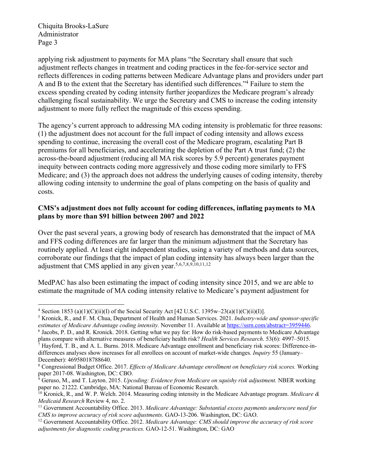applying risk adjustment to payments for MA plans "the Secretary shall ensure that such adjustment reflects changes in treatment and coding practices in the fee-for-service sector and reflects differences in coding patterns between Medicare Advantage plans and providers under part A and B to the extent that the Secretary has identified such differences."4 Failure to stem the excess spending created by coding intensity further jeopardizes the Medicare program's already challenging fiscal sustainability. We urge the Secretary and CMS to increase the coding intensity adjustment to more fully reflect the magnitude of this excess spending.

The agency's current approach to addressing MA coding intensity is problematic for three reasons: (1) the adjustment does not account for the full impact of coding intensity and allows excess spending to continue, increasing the overall cost of the Medicare program, escalating Part B premiums for all beneficiaries, and accelerating the depletion of the Part A trust fund; (2) the across-the-board adjustment (reducing all MA risk scores by 5.9 percent) generates payment inequity between contracts coding more aggressively and those coding more similarly to FFS Medicare; and (3) the approach does not address the underlying causes of coding intensity, thereby allowing coding intensity to undermine the goal of plans competing on the basis of quality and costs.

## **CMS's adjustment does not fully account for coding differences, inflating payments to MA plans by more than \$91 billion between 2007 and 2022**

Over the past several years, a growing body of research has demonstrated that the impact of MA and FFS coding differences are far larger than the minimum adjustment that the Secretary has routinely applied. At least eight independent studies, using a variety of methods and data sources, corroborate our findings that the impact of plan coding intensity has always been larger than the adjustment that CMS applied in any given year. 5,6,7,8,9,10,11,12

MedPAC has also been estimating the impact of coding intensity since 2015, and we are able to estimate the magnitude of MA coding intensity relative to Medicare's payment adjustment for

<sup>&</sup>lt;sup>4</sup> Section 1853 (a)(1)(C)(ii)(I) of the Social Security Act [42 U.S.C. 1395w–23(a)(1)(C)(ii)(I)].

<sup>5</sup> Kronick, R., and F. M. Chua, Department of Health and Human Services. 2021. *Industry-wide and sponsor-specific estimates of Medicare Advantage coding intensity.* November 11. Available at https://ssrn.com/abstract=3959446.

<sup>6</sup> Jacobs, P. D., and R. Kronick. 2018. Getting what we pay for: How do risk-based payments to Medicare Advantage plans compare with alternative measures of beneficiary health risk? *Health Services Research*. 53(6): 4997–5015.

 $^7$  Hayford, T. B., and A. L. Burns. 2018. Medicare Advantage enrollment and beneficiary risk scores: Difference-indifferences analyses show increases for all enrollees on account of market-wide changes. *Inquiry* 55 (January– December): 46958018788640.

<sup>8</sup> Congressional Budget Office. 2017. *Effects of Medicare Advantage enrollment on beneficiary risk scores.* Working paper 2017-08. Washington, DC: CBO.

<sup>9</sup> Geruso, M., and T. Layton. 2015. *Upcoding: Evidence from Medicare on squishy risk adjustment.* NBER working paper no. 21222. Cambridge, MA: National Bureau of Economic Research.

<sup>10</sup> Kronick, R., and W. P. Welch. 2014. Measuring coding intensity in the Medicare Advantage program. *Medicare & Medicaid Research* Review 4, no. 2.

<sup>11</sup> Government Accountability Office. 2013. *Medicare Advantage: Substantial excess payments underscore need for CMS to improve accuracy of risk score adjustments.* GAO-13-206. Washington, DC: GAO.

<sup>12</sup> Government Accountability Office. 2012. *Medicare Advantage: CMS should improve the accuracy of risk score adjustments for diagnostic coding practices.* GAO-12-51. Washington, DC: GAO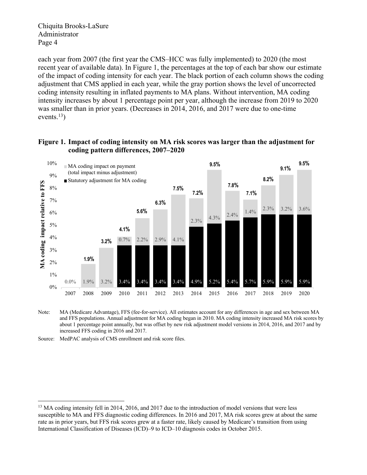each year from 2007 (the first year the CMS–HCC was fully implemented) to 2020 (the most recent year of available data). In Figure 1, the percentages at the top of each bar show our estimate of the impact of coding intensity for each year. The black portion of each column shows the coding adjustment that CMS applied in each year, while the gray portion shows the level of uncorrected coding intensity resulting in inflated payments to MA plans. Without intervention, MA coding intensity increases by about 1 percentage point per year, although the increase from 2019 to 2020 was smaller than in prior years. (Decreases in 2014, 2016, and 2017 were due to one-time events. $^{13}$ )

#### **Figure 1. Impact of coding intensity on MA risk scores was larger than the adjustment for coding pattern differences, 2007–2020**



Note: MA (Medicare Advantage), FFS (fee-for-service). All estimates account for any differences in age and sex between MA and FFS populations. Annual adjustment for MA coding began in 2010. MA coding intensity increased MA risk scores by about 1 percentage point annually, but was offset by new risk adjustment model versions in 2014, 2016, and 2017 and by increased FFS coding in 2016 and 2017.

Source: MedPAC analysis of CMS enrollment and risk score files.

<sup>&</sup>lt;sup>13</sup> MA coding intensity fell in 2014, 2016, and 2017 due to the introduction of model versions that were less susceptible to MA and FFS diagnostic coding differences. In 2016 and 2017, MA risk scores grew at about the same rate as in prior years, but FFS risk scores grew at a faster rate, likely caused by Medicare's transition from using International Classification of Diseases (ICD)–9 to ICD–10 diagnosis codes in October 2015.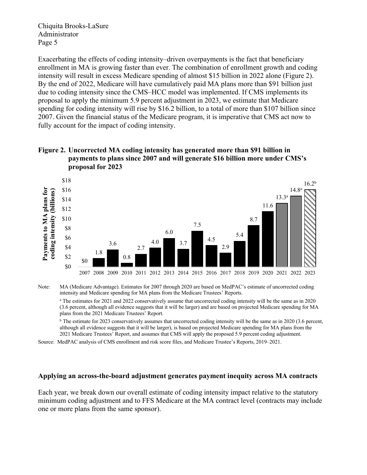Exacerbating the effects of coding intensity–driven overpayments is the fact that beneficiary enrollment in MA is growing faster than ever. The combination of enrollment growth and coding intensity will result in excess Medicare spending of almost \$15 billion in 2022 alone (Figure 2). By the end of 2022, Medicare will have cumulatively paid MA plans more than \$91 billion just due to coding intensity since the CMS–HCC model was implemented. If CMS implements its proposal to apply the minimum 5.9 percent adjustment in 2023, we estimate that Medicare spending for coding intensity will rise by \$16.2 billion, to a total of more than \$107 billion since 2007. Given the financial status of the Medicare program, it is imperative that CMS act now to fully account for the impact of coding intensity.

## **Figure 2. Uncorrected MA coding intensity has generated more than \$91 billion in payments to plans since 2007 and will generate \$16 billion more under CMS's proposal for 2023**



Note: MA (Medicare Advantage). Estimates for 2007 through 2020 are based on MedPAC's estimate of uncorrected coding intensity and Medicare spending for MA plans from the Medicare Trustees' Reports.

<sup>a</sup> The estimates for 2021 and 2022 conservatively assume that uncorrected coding intensity will be the same as in 2020 (3.6 percent, although all evidence suggests that it will be larger) and are based on projected Medicare spending for MA plans from the 2021 Medicare Trustees' Report.

<sup>b</sup> The estimate for 2023 conservatively assumes that uncorrected coding intensity will be the same as in 2020 (3.6 percent, although all evidence suggests that it will be larger), is based on projected Medicare spending for MA plans from the 2021 Medicare Trustees' Report, and assumes that CMS will apply the proposed 5.9 percent coding adjustment.

Source: MedPAC analysis of CMS enrollment and risk score files, and Medicare Trustee's Reports, 2019–2021.

#### **Applying an across-the-board adjustment generates payment inequity across MA contracts**

Each year, we break down our overall estimate of coding intensity impact relative to the statutory minimum coding adjustment and to FFS Medicare at the MA contract level (contracts may include one or more plans from the same sponsor).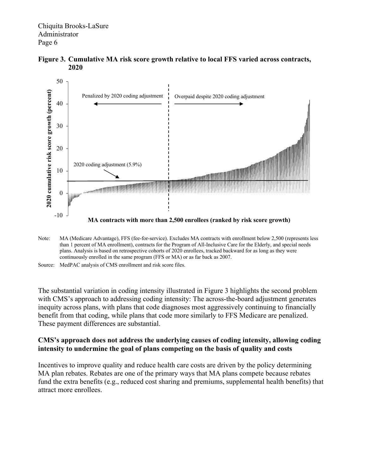



Note: MA (Medicare Advantage), FFS (fee-for-service). Excludes MA contracts with enrollment below 2,500 (represents less than 1 percent of MA enrollment), contracts for the Program of All-Inclusive Care for the Elderly, and special needs plans. Analysis is based on retrospective cohorts of 2020 enrollees, tracked backward for as long as they were continuously enrolled in the same program (FFS or MA) or as far back as 2007.

The substantial variation in coding intensity illustrated in Figure 3 highlights the second problem with CMS's approach to addressing coding intensity: The across-the-board adjustment generates inequity across plans, with plans that code diagnoses most aggressively continuing to financially benefit from that coding, while plans that code more similarly to FFS Medicare are penalized. These payment differences are substantial.

## **CMS's approach does not address the underlying causes of coding intensity, allowing coding intensity to undermine the goal of plans competing on the basis of quality and costs**

Incentives to improve quality and reduce health care costs are driven by the policy determining MA plan rebates. Rebates are one of the primary ways that MA plans compete because rebates fund the extra benefits (e.g., reduced cost sharing and premiums, supplemental health benefits) that attract more enrollees.

Source: MedPAC analysis of CMS enrollment and risk score files.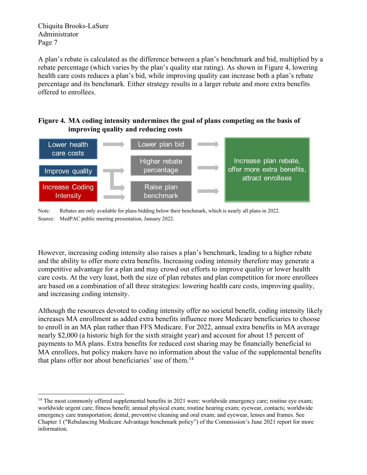A plan's rebate is calculated as the difference between a plan's benchmark and bid, multiplied by a rebate percentage (which varies by the plan's quality star rating). As shown in Figure 4, lowering health care costs reduces a plan's bid, while improving quality can increase both a plan's rebate percentage and its benchmark. Either strategy results in a larger rebate and more extra benefits offered to enrollees.

# **Figure 4. MA coding intensity undermines the goal of plans competing on the basis of improving quality and reducing costs**





However, increasing coding intensity also raises a plan's benchmark, leading to a higher rebate and the ability to offer more extra benefits. Increasing coding intensity therefore may generate a competitive advantage for a plan and may crowd out efforts to improve quality or lower health care costs. At the very least, both the size of plan rebates and plan competition for more enrollees are based on a combination of all three strategies: lowering health care costs, improving quality, and increasing coding intensity.

Although the resources devoted to coding intensity offer no societal benefit, coding intensity likely increases MA enrollment as added extra benefits influence more Medicare beneficiaries to choose to enroll in an MA plan rather than FFS Medicare. For 2022, annual extra benefits in MA average nearly \$2,000 (a historic high for the sixth straight year) and account for about 15 percent of payments to MA plans. Extra benefits for reduced cost sharing may be financially beneficial to MA enrollees, but policy makers have no information about the value of the supplemental benefits that plans offer nor about beneficiaries' use of them.<sup>14</sup>

<sup>&</sup>lt;sup>14</sup> The most commonly offered supplemental benefits in 2021 were: worldwide emergency care; routine eye exam; worldwide urgent care; fitness benefit; annual physical exam; routine hearing exam; eyewear, contacts; worldwide emergency care transportation; dental, preventive cleaning and oral exam; and eyewear, lenses and frames. See Chapter 1 ("Rebalancing Medicare Advantage benchmark policy") of the Commission's June 2021 report for more information.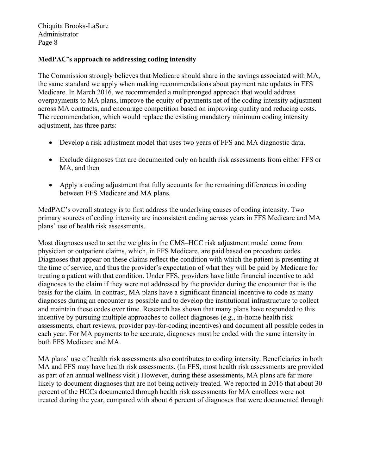## **MedPAC's approach to addressing coding intensity**

The Commission strongly believes that Medicare should share in the savings associated with MA, the same standard we apply when making recommendations about payment rate updates in FFS Medicare. In March 2016, we recommended a multipronged approach that would address overpayments to MA plans, improve the equity of payments net of the coding intensity adjustment across MA contracts, and encourage competition based on improving quality and reducing costs. The recommendation, which would replace the existing mandatory minimum coding intensity adjustment, has three parts:

- Develop a risk adjustment model that uses two years of FFS and MA diagnostic data,
- Exclude diagnoses that are documented only on health risk assessments from either FFS or MA, and then
- Apply a coding adjustment that fully accounts for the remaining differences in coding between FFS Medicare and MA plans.

MedPAC's overall strategy is to first address the underlying causes of coding intensity. Two primary sources of coding intensity are inconsistent coding across years in FFS Medicare and MA plans' use of health risk assessments.

Most diagnoses used to set the weights in the CMS–HCC risk adjustment model come from physician or outpatient claims, which, in FFS Medicare, are paid based on procedure codes. Diagnoses that appear on these claims reflect the condition with which the patient is presenting at the time of service, and thus the provider's expectation of what they will be paid by Medicare for treating a patient with that condition. Under FFS, providers have little financial incentive to add diagnoses to the claim if they were not addressed by the provider during the encounter that is the basis for the claim. In contrast, MA plans have a significant financial incentive to code as many diagnoses during an encounter as possible and to develop the institutional infrastructure to collect and maintain these codes over time. Research has shown that many plans have responded to this incentive by pursuing multiple approaches to collect diagnoses (e.g., in-home health risk assessments, chart reviews, provider pay-for-coding incentives) and document all possible codes in each year. For MA payments to be accurate, diagnoses must be coded with the same intensity in both FFS Medicare and MA.

MA plans' use of health risk assessments also contributes to coding intensity. Beneficiaries in both MA and FFS may have health risk assessments. (In FFS, most health risk assessments are provided as part of an annual wellness visit.) However, during these assessments, MA plans are far more likely to document diagnoses that are not being actively treated. We reported in 2016 that about 30 percent of the HCCs documented through health risk assessments for MA enrollees were not treated during the year, compared with about 6 percent of diagnoses that were documented through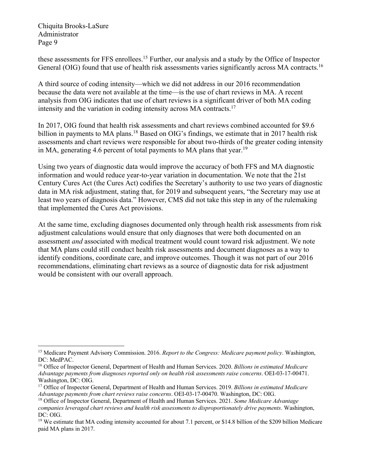these assessments for FFS enrollees.<sup>15</sup> Further, our analysis and a study by the Office of Inspector General (OIG) found that use of health risk assessments varies significantly across MA contracts.<sup>16</sup>

A third source of coding intensity—which we did not address in our 2016 recommendation because the data were not available at the time—is the use of chart reviews in MA. A recent analysis from OIG indicates that use of chart reviews is a significant driver of both MA coding intensity and the variation in coding intensity across MA contracts.17

In 2017, OIG found that health risk assessments and chart reviews combined accounted for \$9.6 billion in payments to MA plans.<sup>18</sup> Based on OIG's findings, we estimate that in 2017 health risk assessments and chart reviews were responsible for about two-thirds of the greater coding intensity in MA, generating 4.6 percent of total payments to MA plans that year.<sup>19</sup>

Using two years of diagnostic data would improve the accuracy of both FFS and MA diagnostic information and would reduce year-to-year variation in documentation. We note that the 21st Century Cures Act (the Cures Act) codifies the Secretary's authority to use two years of diagnostic data in MA risk adjustment, stating that, for 2019 and subsequent years, "the Secretary may use at least two years of diagnosis data." However, CMS did not take this step in any of the rulemaking that implemented the Cures Act provisions.

At the same time, excluding diagnoses documented only through health risk assessments from risk adjustment calculations would ensure that only diagnoses that were both documented on an assessment *and* associated with medical treatment would count toward risk adjustment. We note that MA plans could still conduct health risk assessments and document diagnoses as a way to identify conditions, coordinate care, and improve outcomes. Though it was not part of our 2016 recommendations, eliminating chart reviews as a source of diagnostic data for risk adjustment would be consistent with our overall approach.

<sup>15</sup> Medicare Payment Advisory Commission. 2016. *Report to the Congress: Medicare payment policy*. Washington, DC: MedPAC.

<sup>16</sup> Office of Inspector General, Department of Health and Human Services. 2020. *Billions in estimated Medicare Advantage payments from diagnoses reported only on health risk assessments raise concerns*. OEI-03-17-00471. Washington, DC: OIG.

<sup>17</sup> Office of Inspector General, Department of Health and Human Services. 2019. *Billions in estimated Medicare Advantage payments from chart reviews raise concerns*. OEI-03-17-00470. Washington, DC: OIG.

<sup>18</sup> Office of Inspector General, Department of Health and Human Services. 2021. *Some Medicare Advantage companies leveraged chart reviews and health risk assessments to disproportionately drive payments*. Washington, DC: OIG.

<sup>&</sup>lt;sup>19</sup> We estimate that MA coding intensity accounted for about 7.1 percent, or \$14.8 billion of the \$209 billion Medicare paid MA plans in 2017.